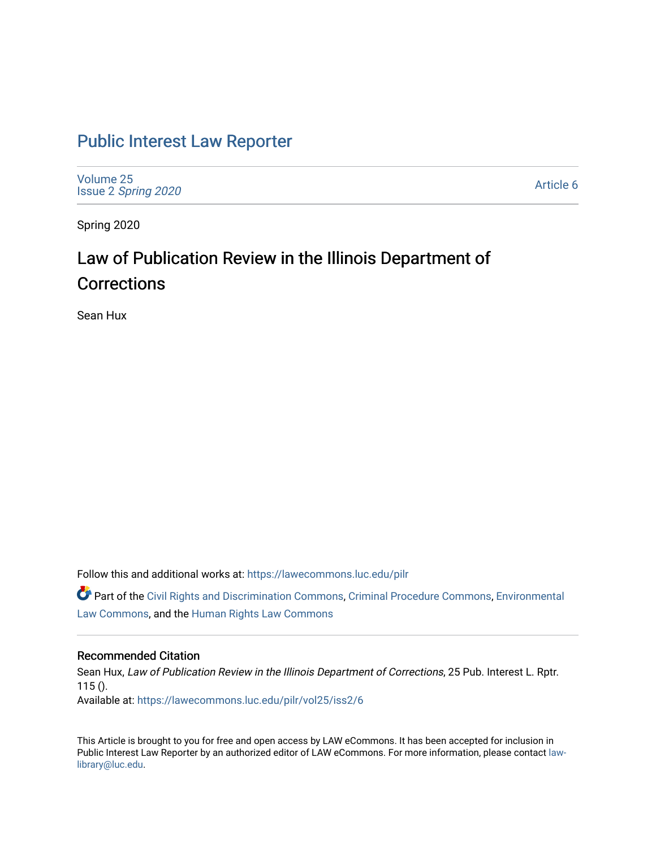## [Public Interest Law Reporter](https://lawecommons.luc.edu/pilr)

[Volume 25](https://lawecommons.luc.edu/pilr/vol25) Issue 2 [Spring 2020](https://lawecommons.luc.edu/pilr/vol25/iss2) 

[Article 6](https://lawecommons.luc.edu/pilr/vol25/iss2/6) 

Spring 2020

# Law of Publication Review in the Illinois Department of **Corrections**

Sean Hux

Follow this and additional works at: [https://lawecommons.luc.edu/pilr](https://lawecommons.luc.edu/pilr?utm_source=lawecommons.luc.edu%2Fpilr%2Fvol25%2Fiss2%2F6&utm_medium=PDF&utm_campaign=PDFCoverPages) 

Part of the [Civil Rights and Discrimination Commons,](http://network.bepress.com/hgg/discipline/585?utm_source=lawecommons.luc.edu%2Fpilr%2Fvol25%2Fiss2%2F6&utm_medium=PDF&utm_campaign=PDFCoverPages) [Criminal Procedure Commons,](http://network.bepress.com/hgg/discipline/1073?utm_source=lawecommons.luc.edu%2Fpilr%2Fvol25%2Fiss2%2F6&utm_medium=PDF&utm_campaign=PDFCoverPages) [Environmental](http://network.bepress.com/hgg/discipline/599?utm_source=lawecommons.luc.edu%2Fpilr%2Fvol25%2Fiss2%2F6&utm_medium=PDF&utm_campaign=PDFCoverPages)  [Law Commons,](http://network.bepress.com/hgg/discipline/599?utm_source=lawecommons.luc.edu%2Fpilr%2Fvol25%2Fiss2%2F6&utm_medium=PDF&utm_campaign=PDFCoverPages) and the [Human Rights Law Commons](http://network.bepress.com/hgg/discipline/847?utm_source=lawecommons.luc.edu%2Fpilr%2Fvol25%2Fiss2%2F6&utm_medium=PDF&utm_campaign=PDFCoverPages)

## Recommended Citation

Sean Hux, Law of Publication Review in the Illinois Department of Corrections, 25 Pub. Interest L. Rptr.  $115()$ . Available at: [https://lawecommons.luc.edu/pilr/vol25/iss2/6](https://lawecommons.luc.edu/pilr/vol25/iss2/6?utm_source=lawecommons.luc.edu%2Fpilr%2Fvol25%2Fiss2%2F6&utm_medium=PDF&utm_campaign=PDFCoverPages)

This Article is brought to you for free and open access by LAW eCommons. It has been accepted for inclusion in Public Interest Law Reporter by an authorized editor of LAW eCommons. For more information, please contact [law](mailto:law-library@luc.edu)[library@luc.edu.](mailto:law-library@luc.edu)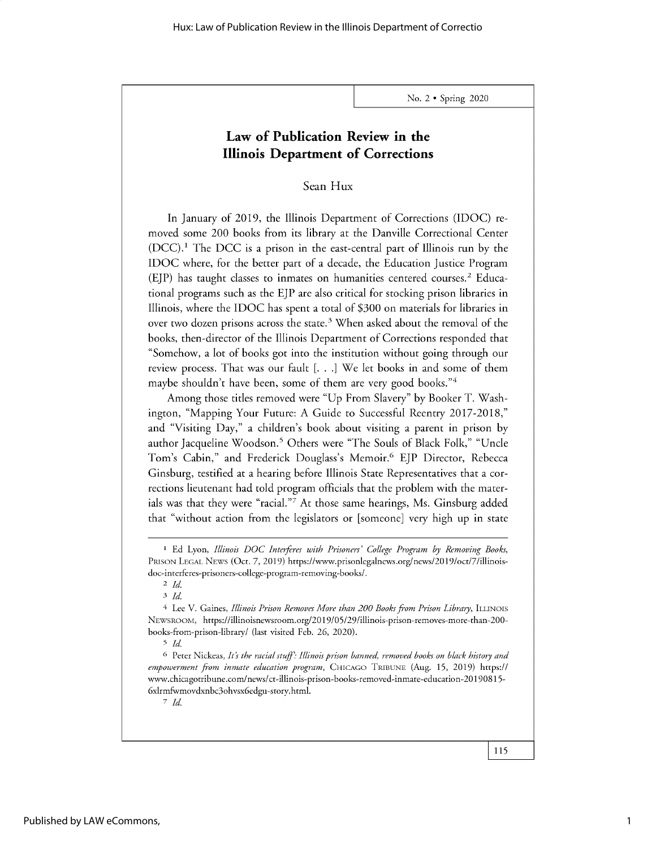## **Law of Publication Review in the Illinois Department of Corrections**

Sean Hux

In January of 2019, the Illinois Department of Corrections (IDOC) removed some 200 books from its library at the Danville Correctional Center  $(DCC)$ .<sup>1</sup> The DCC is a prison in the east-central part of Illinois run by the IDOC where, for the better part of a decade, the Education Justice Program (EJP) has taught classes to inmates on humanities centered courses.<sup>2</sup> Educational programs such as the EJP are also critical for stocking prison libraries in Illinois, where the IDOC has spent a total of \$300 on materials for libraries in over two dozen prisons across the state.<sup>3</sup> When asked about the removal of the books, then-director of the Illinois Department of Corrections responded that "Somehow, a lot of books got into the institution without going through our review process. That was our fault [. . .] We let books in and some of them maybe shouldn't have been, some of them are very good books."4

Among those titles removed were "Up From Slavery" by Booker T. Washington, "Mapping Your Future: A Guide to Successful Reentry 2017-2018," and "Visiting Day," a children's book about visiting a parent in prison by author Jacqueline Woodson.<sup>5</sup> Others were "The Souls of Black Folk," "Uncle Tom's Cabin," and Frederick Douglass's Memoir.6 EJP Director, Rebecca Ginsburg, testified at a hearing before Illinois State Representatives that a corrections lieutenant had told program officials that the problem with the materials was that they were "racial."7 At those same hearings, Ms. Ginsburg added that "without action from the legislators or [someone] very high up in state

*7 Id.*

I Ed Lyon, *Illinois* DOC *Interferes with Prisoners' College Program by Removing Books,* PRISON LEGAL NEwS (Oct. 7, 2019) https://www.prisonlegalnews.org/news/2019/oct/7/illinoisdoc-interferes-prisoners-college-program-removing-books/.

**<sup>2</sup>***Id. 3 Id*

<sup>&</sup>lt;sup>4</sup> Lee V. Gaines, *Illinois Prison Removes More than 200 Books from Prison Library*, ILLINOIS NEWSROOM, https://illinoisnewsroom.org/2019/05/29/illinois-prison-removes-more-than-200 books-from-prison-library/ (last visited Feb. 26, 2020).

<sup>5</sup> *Id.*

<sup>6</sup> Peter Nickeas, *Its the racial stuff: Illinois prison banned, removed books on black history and empowerment from inmate education program,* CHICAGO TRIBUNE (Aug. 15, 2019) *https://* www.chicagotribune.com/news/ct-illinois-prison-books-removed-inmate-education-20190815- 6xlrmfwmovdxnbc3ohvsx6edgu-story.html.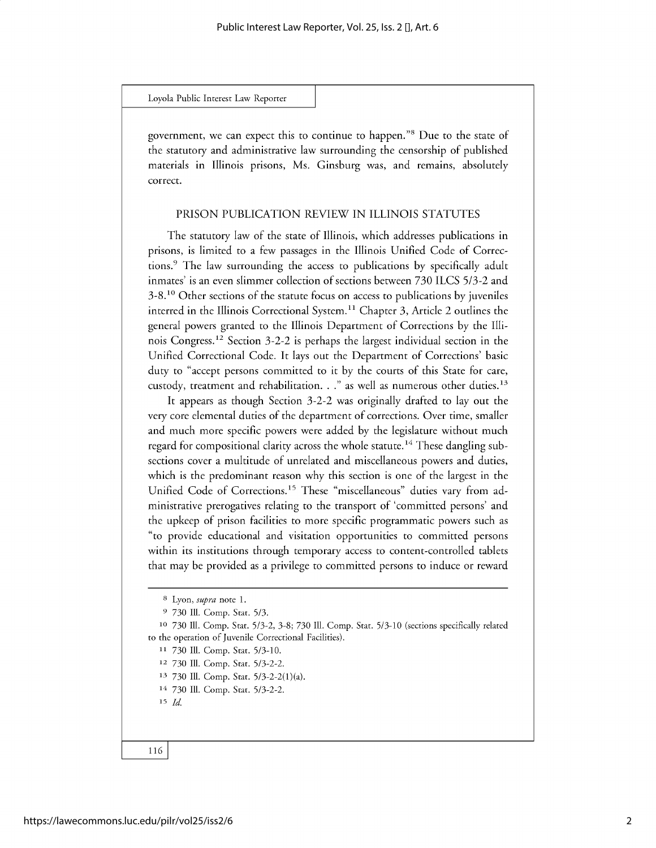**government, we can expect this to continue to** happen."<sup>8</sup>**Due to the state of the statutory and administrative law surrounding the censorship of published materials in Illinois prisons, Ms. Ginsburg was, and remains, absolutely correct.**

#### PRISON PUBLICATION REVIEW IN ILLINOIS STATUTES

**The statutory law of the state of Illinois, which addresses publications in prisons, is limited to a few passages in the Illinois Unified Code of Corrections. <sup>9</sup>The law surrounding the access to publications by specifically adult inmates' is an even slimmer collection of sections between 730** ILCS *5/3-2* **and 3-8.10 Other sections of the statute focus on access to publications by juveniles interred in the Illinois Correctional System." Chapter 3, Article 2 outlines the general powers granted to the Illinois Department of Corrections by the Illinois Congress. <sup>12</sup>Section 3-2-2 is perhaps the largest individual section in the Unified Correctional Code. It lays out the Department of Corrections' basic** duty to **"accept persons committed to it by the courts of this State for care,** custody, treatment and rehabilitation. . ." as well as numerous other duties.<sup>13</sup>

**It appears as though Section 3-2-2 was originally drafted to lay out the very core elemental duties of the department of corrections. Over time, smaller and much more specific powers were added by the legislature without much regard for compositional clarity across the whole statute.14 These dangling subsections cover a multitude of unrelated and miscellaneous powers and duties, which is the predominant reason why this section is one of the largest in the** Unified Code of Corrections.<sup>15</sup> These "miscellaneous" duties vary from ad**ministrative prerogatives relating to the transport of 'committed persons' and the upkeep of prison facilities to more specific programmatic powers such as** "to **provide educational and visitation opportunities to committed persons within its institutions through temporary access to content-controlled tablets that may be provided as a privilege to committed persons to induce or reward**

- **<sup>11</sup>730 Ill. Comp. Stat. 5/3-10.**
- **12 730 Ill. Comp. Stat.** 5/3-2-2.
- **<sup>13</sup>730 Ill. Comp. Stat.** 5/3-2-2(1)(a).
- **<sup>14</sup>730 Ill. Comp. Stat.** 5/3-2-2.

**<sup>15</sup>***Id.*

**<sup>8</sup> Lyon, supra note 1.**

**<sup>9 730</sup> Ill. Comp. Stat. 5/3.**

**<sup>10</sup>730 Ill. Comp. Stat.** 5/3-2, 3-8; 730 **Ill. Comp. Stat. 5/3-10 (sections specifically related to the operation of Juvenile Correctional Facilities).**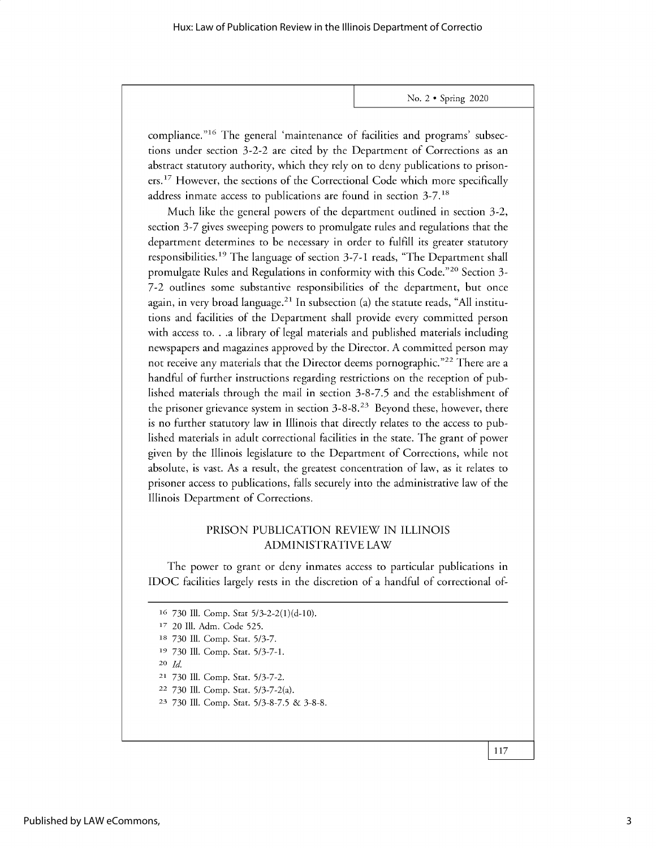compliance."<sup>16</sup> The general 'maintenance of facilities and programs' subsections under section 3-2-2 are cited by the Department of Corrections as an abstract statutory authority, which they rely on to deny publications to prisoners.<sup>17</sup> However, the sections of the Correctional Code which more specifically address inmate access to publications are found in section 3-7.18

Much like the general powers of the department outlined in section 3-2, section 3-7 gives sweeping powers to promulgate rules and regulations that the department determines to be necessary in order to fulfill its greater statutory responsibilities.19 The language of section 3-7-1 reads, "The Department shall promulgate Rules and Regulations in conformity with this Code."<sup>20</sup> Section 3-7-2 outlines some substantive responsibilities of the department, but once again, in very broad language.<sup>21</sup> In subsection (a) the statute reads, "All institutions and facilities of the Department shall provide every committed person with access to. . .a library of legal materials and published materials including newspapers and magazines approved by the Director. A committed person may not receive any materials that the Director deems pornographic."<sup>22</sup> There are a handful of further instructions regarding restrictions on the reception of published materials through the mail in section *3-8-7.5* and the establishment of the prisoner grievance system in section 3-8-8.23 Beyond these, however, there is no further statutory law in Illinois that directly relates to the access to published materials in adult correctional facilities in the state. The grant of power given by the Illinois legislature to the Department of Corrections, while not absolute, is vast. As a result, the greatest concentration of law, as it relates to prisoner access to publications, falls securely into the administrative law of the Illinois Department of Corrections.

## PRISON PUBLICATION REVIEW IN ILLINOIS ADMINISTRATIVE LAW

The power to grant or deny inmates access to particular publications in IDOC facilities largely rests in the discretion of a handful of correctional of-

730 Ill. Comp. Stat 5/3-2-2(1)(d-10). 17 20 Ill. Adm. Code 525. 730 Ill. Comp. Stat. 5/3-7. 730 Ill. Comp. Stat. 5/3-7-1. 20 *Id.* 730 Ill. Comp. Stat. 5/3-7-2. 730 Ill. Comp. Stat. 5/3-7-2(a). 730 Ill. Comp. Stat. 5/3-8-7.5 & 3-8-8.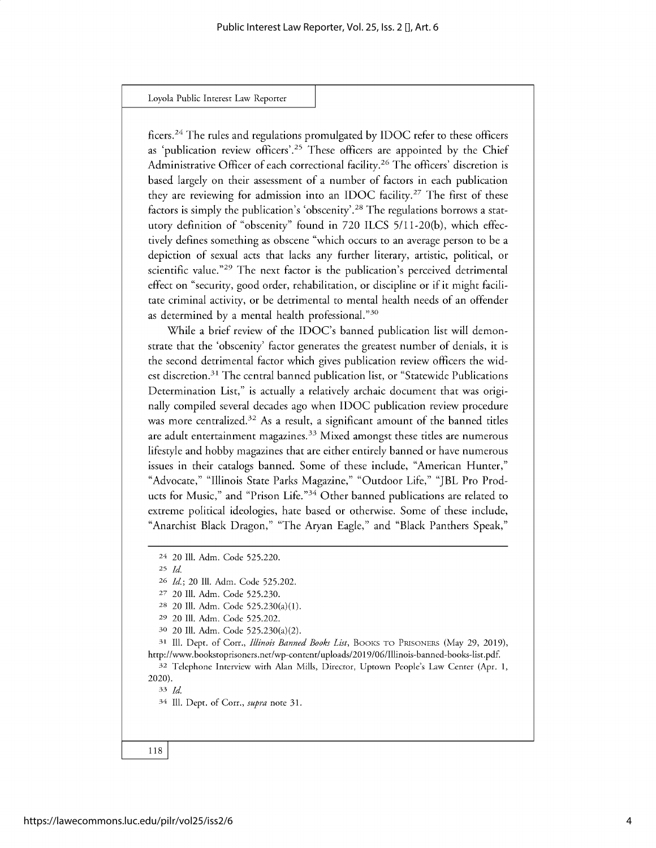ficers.<sup>24</sup> The rules and regulations promulgated by IDOC refer to these officers as 'publication review officers'.<sup>25</sup> These officers are appointed by the Chief Administrative Officer of each correctional facility.<sup>26</sup> The officers' discretion is based largely on their assessment of a number of factors in each publication they are reviewing for admission into an IDOC facility.<sup>27</sup> The first of these factors is simply the publication's 'obscenity'.<sup>2</sup>8 The regulations borrows a statutory definition of "obscenity" found in 720 ILCS 5/11-20(b), which effectively defines something as obscene "which occurs to an average person to be a depiction of sexual acts that lacks any further literary, artistic, political, or scientific value."<sup>29</sup> The next factor is the publication's perceived detrimental effect on "security, good order, rehabilitation, or discipline or if it might facilitate criminal activity, or be detrimental to mental health needs of an offender as determined by a mental health professional."<sup>30</sup>

While a brief review of the IDOC's banned publication list will demonstrate that the 'obscenity' factor generates the greatest number of denials, it is the second detrimental factor which gives publication review officers the widest discretion.<sup>31</sup> The central banned publication list, or "Statewide Publications Determination List," is actually a relatively archaic document that was originally compiled several decades ago when IDOC publication review procedure was more centralized.<sup>32</sup> As a result, a significant amount of the banned titles are adult entertainment magazines.<sup>33</sup> Mixed amongst these titles are numerous lifestyle and hobby magazines that are either entirely banned or have numerous issues in their catalogs banned. Some of these include, "American Hunter," "Advocate," "Illinois State Parks Magazine," "Outdoor Life," "JBL Pro Products for Music," and "Prison Life."<sup>34</sup> Other banned publications are related to extreme political ideologies, hate based or otherwise. Some of these include, "Anarchist Black Dragon," "The Aryan Eagle," and "Black Panthers Speak,"

**25** *Id.*

<sup>31</sup> Ill. Dept. of Corr., *Illinois Banned Books List*, BOOKS TO PRISONERS (May 29, 2019), http://www.bookstoprisoners.net/wp-content/uploads/2019/06/Illinois-banned-books-list.pdf.

**<sup>32</sup>**Telephone Interview with Alan Mills, Director, Uptown People's Law Center (Apr. 1, 2020).

33 *Id*

34 Ill. Dept. of Corr., *supra* note 31.

**<sup>24</sup>** 20 Ill. Adm. Code 525.220.

**<sup>26</sup>** *Id.;* 20 Ill. Adm. Code 525.202.

<sup>27</sup> 20 Ill. Adm. Code 525.230.

**<sup>28</sup>** 20 Ill. Adm. Code 525.230(a)(1).

**<sup>29</sup>** 20 Ill. Adm. Code 525.202.

**<sup>30</sup>** 20 Ill. Adm. Code 525.230(a)(2).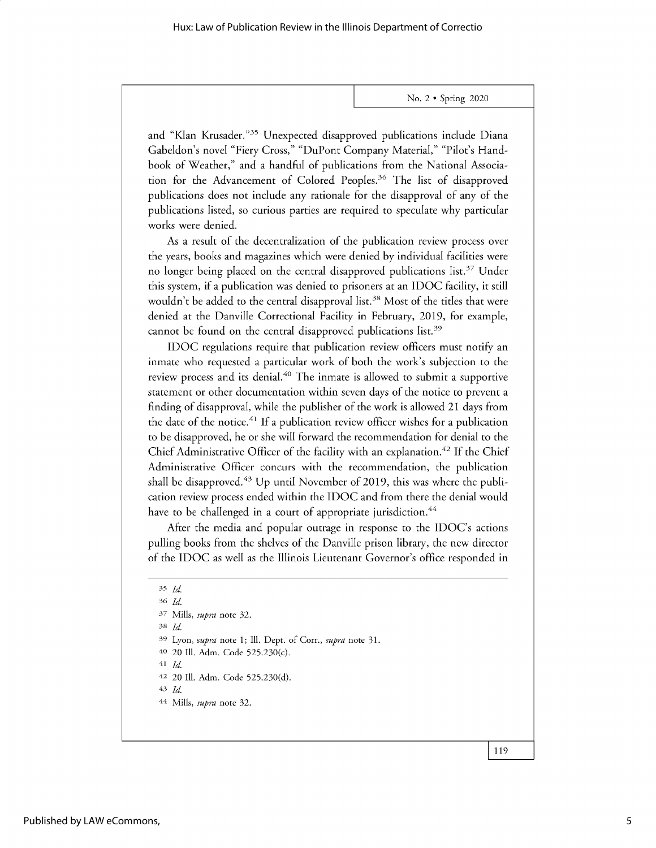and "Klan Krusader."<sup>35</sup> Unexpected disapproved publications include Diana Gabeldon's novel "Fiery Cross," "DuPont Company Material," "Pilot's Handbook of Weather," and a handful of publications from the National Association for the Advancement of Colored Peoples.<sup>36</sup> The list of disapproved publications does not include any rationale for the disapproval of any of the publications listed, so curious parties are required to speculate why particular works were denied.

As a result of the decentralization of the publication review process over the years, books and magazines which were denied by individual facilities were no longer being placed on the central disapproved publications list.<sup>37</sup> Under this system, if a publication was denied to prisoners at an IDOC facility, it still wouldn't be added to the central disapproval list.<sup>38</sup> Most of the titles that were denied at the Danville Correctional Facility in February, 2019, for example, cannot be found on the central disapproved publications list.<sup>39</sup>

IDOC regulations require that publication review officers must notify an inmate who requested a particular work of both the work's subjection to the review process and its denial.<sup>40</sup> The inmate is allowed to submit a supportive statement or other documentation within seven days of the notice to prevent a finding of disapproval, while the publisher of the work is allowed 21 days from the date of the notice.<sup>41</sup> If a publication review officer wishes for a publication to be disapproved, he or she will forward the recommendation for denial to the Chief Administrative Officer of the facility with an explanation.<sup>42</sup> If the Chief Administrative Officer concurs with the recommendation, the publication shall be disapproved.<sup> $43$ </sup> Up until November of 2019, this was where the publication review process ended within the IDOC and from there the denial would have to be challenged in a court of appropriate jurisdiction.<sup>44</sup>

After the media and popular outrage in response to the IDOC's actions pulling books from the shelves of the Danville prison library, the new director of the IDOC as well as the Illinois Lieutenant Governor's office responded in

<sup>35</sup>*Id*

**<sup>36</sup>***Id.* 37 Mills, *supra* note 32. **<sup>38</sup>***Id* **<sup>39</sup>**Lyon, *supra* note 1; Ill. Dept. of Corr., *supra* note 31. **40** 20 Ill. Adm. Code 525.230(c). **<sup>41</sup>***Id* **42** 20 Ill. Adm. Code 525.230(d). *43 Id*

<sup>44</sup> Mills, *supra* note 32.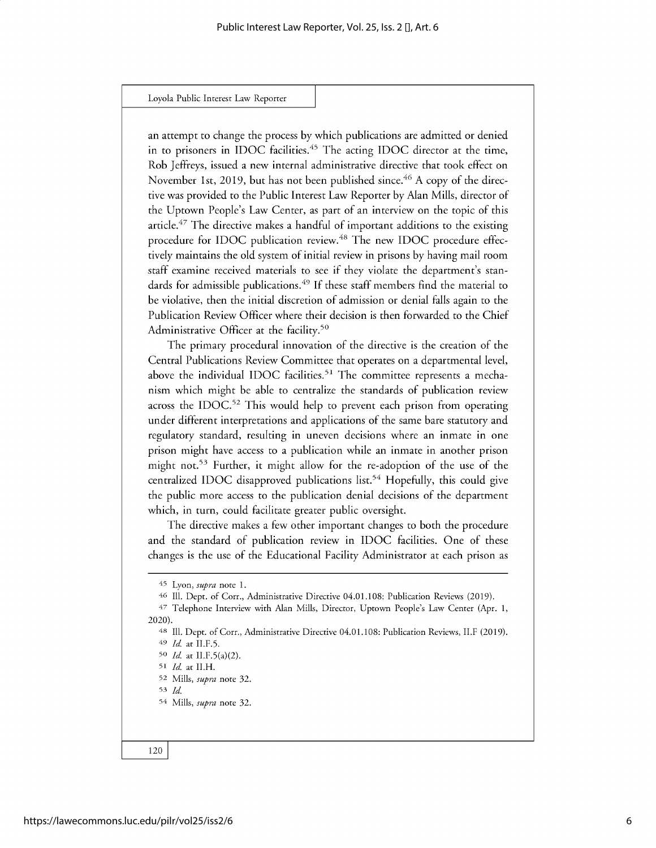an attempt to change the process by which publications are admitted or denied in to prisoners in IDOC facilities.<sup>45</sup> The acting IDOC director at the time, Rob Jeffreys, issued a new internal administrative directive that took effect on November 1st, 2019, but has not been published since.<sup>46</sup> A copy of the directive was provided to the Public Interest Law Reporter by Alan Mills, director of the Uptown People's Law Center, as part of an interview on the topic of this article.<sup>47</sup> The directive makes a handful of important additions to the existing procedure for IDOC publication review.<sup>48</sup> The new IDOC procedure effectively maintains the old system of initial review in prisons by having mail room staff examine received materials to see if they violate the department's standards for admissible publications.<sup>49</sup> If these staff members find the material to be violative, then the initial discretion of admission or denial falls again to the Publication Review Officer where their decision is then forwarded to the Chief Administrative Officer at the facility.<sup>50</sup>

The primary procedural innovation of the directive is the creation of the Central Publications Review Committee that operates on a departmental level, above the individual IDOC facilities.<sup>51</sup> The committee represents a mechanism which might be able to centralize the standards of publication review across the IDOC.<sup>52</sup> This would help to prevent each prison from operating under different interpretations and applications of the same bare statutory and regulatory standard, resulting in uneven decisions where an inmate in one prison might have access to a publication while an inmate in another prison might not.<sup>53</sup> Further, it might allow for the re-adoption of the use of the centralized IDOC disapproved publications list.<sup>54</sup> Hopefully, this could give the public more access to the publication denial decisions of the department which, in turn, could facilitate greater public oversight.

The directive makes a few other important changes to both the procedure and the standard of publication review in IDOC facilities. One of these changes is the use of the Educational Facility Administrator at each prison as

<sup>45</sup> Lyon, *supra* note 1.

<sup>46</sup> Ill. Dept. of Corr., Administrative Directive 04.01.108: Publication Reviews (2019).

<sup>47</sup> Telephone Interview with Alan Mills, Director, Uptown People's Law Center (Apr. 1, 2020).

<sup>48</sup> Ill. Dept. of Corr., Administrative Directive 04.01.108: Publication Reviews, II.F (2019). <sup>49</sup>*Id* at II.F.5.

so *Id* at II.F.5(a)(2).

<sup>51</sup>*Id* at II.H.

<sup>52</sup> Mills, *supra* note 32.

<sup>54</sup> *Id*

<sup>54</sup> Mills, *supra* note 32.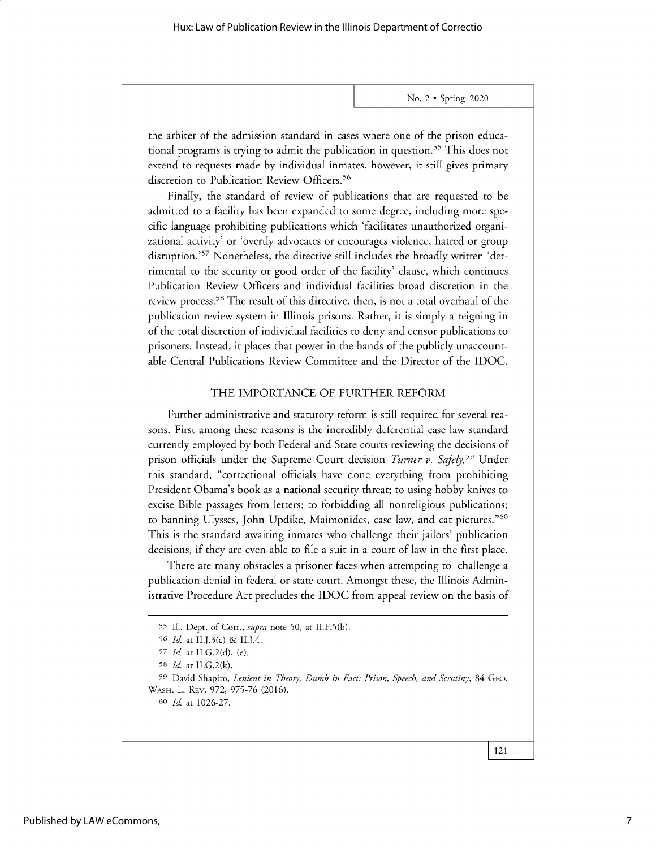the arbiter of the admission standard in cases where one of the prison educational programs is trying to admit the publication in question.<sup>55</sup> This does not extend to requests made by individual inmates, however, it still gives primary discretion to Publication Review Officers.<sup>56</sup>

Finally, the standard of review of publications that are requested to be admitted to a facility has been expanded to some degree, including more specific language prohibiting publications which 'facilitates unauthorized organizational activity' or 'overtly advocates or encourages violence, hatred or group disruption.<sup>'57</sup> Nonetheless, the directive still includes the broadly written 'detrimental to the security or good order of the facility' clause, which continues Publication Review Officers and individual facilities broad discretion in the review process. <sup>58</sup>The result of this directive, then, is not a total overhaul of the publication review system in Illinois prisons. Rather, it is simply a reigning in of the total discretion of individual facilities to deny and censor publications to prisoners. Instead, it places that power in the hands of the publicly unaccountable Central Publications Review Committee and the Director of the IDOC.

### THE IMPORTANCE OF FURTHER REFORM

Further administrative and statutory reform is still required for several reasons. First among these reasons is the incredibly deferential case law standard currently employed by both Federal and State courts reviewing the decisions of prison officials under the Supreme Court decision *Turner v. Safely*.<sup>59</sup> Under this standard, "correctional officials have done everything from prohibiting President Obama's book as a national security threat; to using hobby knives to excise Bible passages from letters; to forbidding all nonreligious publications; to banning Ulysses, John Updike, Maimonides, case law, and cat pictures."60 This is the standard awaiting inmates who challenge their jailors' publication decisions, if they are even able to file a suit in a court of law in the first place.

There are many obstacles a prisoner faces when attempting to challenge a publication denial in federal or state court. Amongst these, the Illinois Administrative Procedure Act precludes the IDOC from appeal review on the basis of

<sup>55</sup> Ill. Dept. of Corr., *supra* note 50, at II.F.5(b).

*<sup>56</sup>Id* at II.J.3(c) & II.J.4.

*<sup>57</sup> Id.* at II.G.2(d), (e).

**<sup>58</sup>** *Id.* at II.G.2(k).

<sup>59</sup> David Shapiro, *Lenient in Theory, Dumb in Fact: Prison, Speech, and Scrutiny,* 84 GEO. WASH. L. REv. 972, 975-76 (2016).

<sup>6</sup>o *Id* at 1026-27.